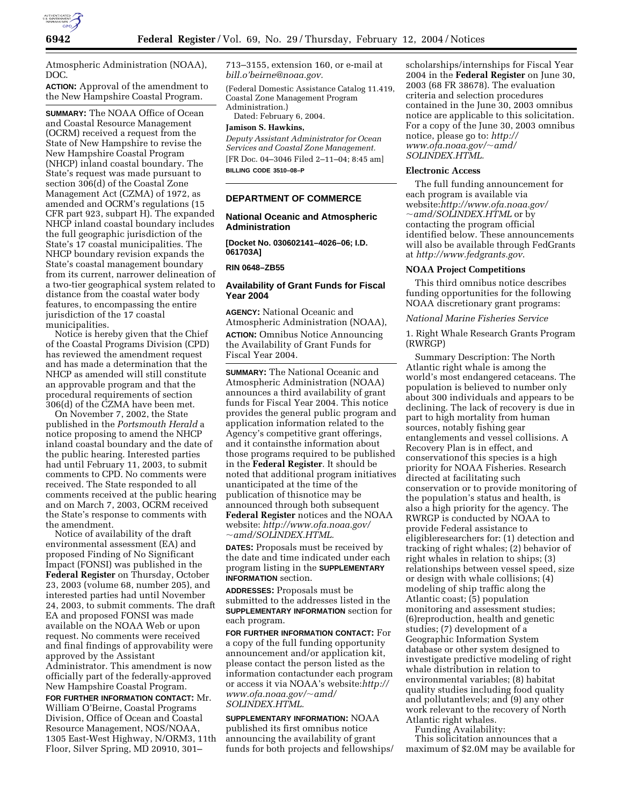

Atmospheric Administration (NOAA), DOC.

**ACTION:** Approval of the amendment to the New Hampshire Coastal Program.

**SUMMARY:** The NOAA Office of Ocean and Coastal Resource Management (OCRM) received a request from the State of New Hampshire to revise the New Hampshire Coastal Program (NHCP) inland coastal boundary. The State's request was made pursuant to section 306(d) of the Coastal Zone Management Act (CZMA) of 1972, as amended and OCRM's regulations (15 CFR part 923, subpart H). The expanded NHCP inland coastal boundary includes the full geographic jurisdiction of the State's 17 coastal municipalities. The NHCP boundary revision expands the State's coastal management boundary from its current, narrower delineation of a two-tier geographical system related to distance from the coastal water body features, to encompassing the entire jurisdiction of the 17 coastal municipalities.

Notice is hereby given that the Chief of the Coastal Programs Division (CPD) has reviewed the amendment request and has made a determination that the NHCP as amended will still constitute an approvable program and that the procedural requirements of section 306(d) of the CZMA have been met.

On November 7, 2002, the State published in the *Portsmouth Herald* a notice proposing to amend the NHCP inland coastal boundary and the date of the public hearing. Interested parties had until February 11, 2003, to submit comments to CPD. No comments were received. The State responded to all comments received at the public hearing and on March 7, 2003, OCRM received the State's response to comments with the amendment.

Notice of availability of the draft environmental assessment (EA) and proposed Finding of No Significant Impact (FONSI) was published in the **Federal Register** on Thursday, October 23, 2003 (volume 68, number 205), and interested parties had until November 24, 2003, to submit comments. The draft EA and proposed FONSI was made available on the NOAA Web or upon request. No comments were received and final findings of approvability were approved by the Assistant Administrator. This amendment is now officially part of the federally-approved New Hampshire Coastal Program.

**FOR FURTHER INFORMATION CONTACT:** Mr. William O'Beirne, Coastal Programs Division, Office of Ocean and Coastal Resource Management, NOS/NOAA, 1305 East-West Highway, N/ORM3, 11th Floor, Silver Spring, MD 20910, 301–

713–3155, extension 160, or e-mail at *bill.o'beirne@noaa.gov.*

(Federal Domestic Assistance Catalog 11.419, Coastal Zone Management Program Administration.)

Dated: February 6, 2004.

## **Jamison S. Hawkins,**

*Deputy Assistant Administrator for Ocean Services and Coastal Zone Management.* [FR Doc. 04–3046 Filed 2–11–04; 8:45 am] **BILLING CODE 3510–08–P**

#### **DEPARTMENT OF COMMERCE**

### **National Oceanic and Atmospheric Administration**

**[Docket No. 030602141–4026–06; I.D. 061703A]**

**RIN 0648–ZB55**

#### **Availability of Grant Funds for Fiscal Year 2004**

**AGENCY:** National Oceanic and Atmospheric Administration (NOAA), **ACTION:** Omnibus Notice Announcing the Availability of Grant Funds for Fiscal Year 2004.

**SUMMARY:** The National Oceanic and Atmospheric Administration (NOAA) announces a third availability of grant funds for Fiscal Year 2004. This notice provides the general public program and application information related to the Agency's competitive grant offerings, and it containsthe information about those programs required to be published in the **Federal Register**. It should be noted that additional program initiatives unanticipated at the time of the publication of thisnotice may be announced through both subsequent **Federal Register** notices and the NOAA website: *http://www.ofa.noaa.gov/* ~*amd/SOLINDEX.HTML.*

**DATES:** Proposals must be received by the date and time indicated under each program listing in the **SUPPLEMENTARY INFORMATION** section.

**ADDRESSES:** Proposals must be submitted to the addresses listed in the **SUPPLEMENTARY INFORMATION** section for each program.

**FOR FURTHER INFORMATION CONTACT:** For a copy of the full funding opportunity announcement and/or application kit, please contact the person listed as the information contactunder each program or access it via NOAA's website:*http:// www.ofa.noaa.gov/*~*amd/ SOLINDEX.HTML.*

### **SUPPLEMENTARY INFORMATION:** NOAA published its first omnibus notice announcing the availability of grant funds for both projects and fellowships/

scholarships/internships for Fiscal Year 2004 in the **Federal Register** on June 30, 2003 (68 FR 38678). The evaluation criteria and selection procedures contained in the June 30, 2003 omnibus notice are applicable to this solicitation. For a copy of the June 30, 2003 omnibus notice, please go to: *http:// www.ofa.noaa.gov/*~*amd/ SOLINDEX.HTML.*

#### **Electronic Access**

The full funding announcement for each program is available via website:*http://www.ofa.noaa.gov/* ~*amd/SOLINDEX.HTML* or by contacting the program official identified below. These announcements will also be available through FedGrants at *http://www.fedgrants.gov*.

#### **NOAA Project Competitions**

This third omnibus notice describes funding opportunities for the following NOAA discretionary grant programs:

*National Marine Fisheries Service*

1. Right Whale Research Grants Program (RWRGP)

Summary Description: The North Atlantic right whale is among the world's most endangered cetaceans. The population is believed to number only about 300 individuals and appears to be declining. The lack of recovery is due in part to high mortality from human sources, notably fishing gear entanglements and vessel collisions. A Recovery Plan is in effect, and conservationof this species is a high priority for NOAA Fisheries. Research directed at facilitating such conservation or to provide monitoring of the population's status and health, is also a high priority for the agency. The RWRGP is conducted by NOAA to provide Federal assistance to eligibleresearchers for: (1) detection and tracking of right whales; (2) behavior of right whales in relation to ships; (3) relationships between vessel speed, size or design with whale collisions; (4) modeling of ship traffic along the Atlantic coast; (5) population monitoring and assessment studies; (6)reproduction, health and genetic studies; (7) development of a Geographic Information System database or other system designed to investigate predictive modeling of right whale distribution in relation to environmental variables; (8) habitat quality studies including food quality and pollutantlevels; and (9) any other work relevant to the recovery of North Atlantic right whales.

Funding Availability:

This solicitation announces that a maximum of \$2.0M may be available for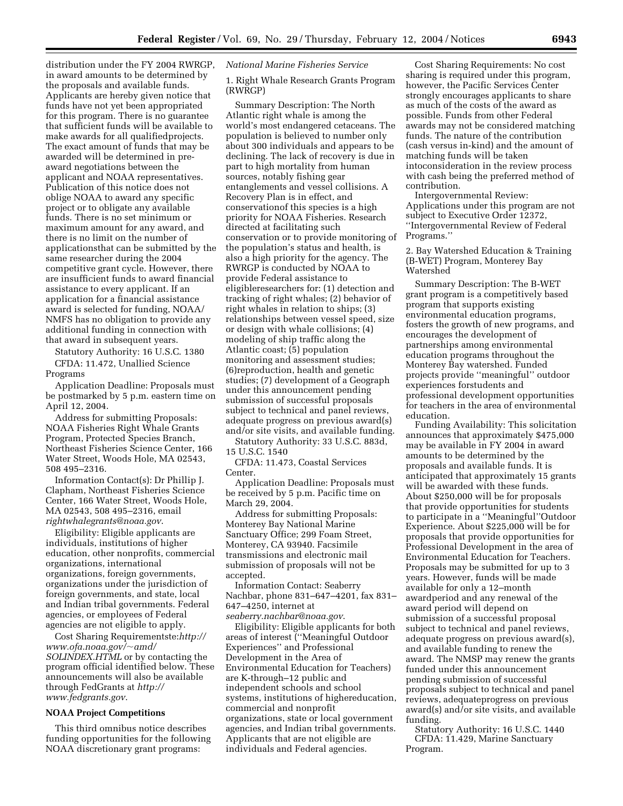distribution under the FY 2004 RWRGP, in award amounts to be determined by the proposals and available funds. Applicants are hereby given notice that funds have not yet been appropriated for this program. There is no guarantee that sufficient funds will be available to make awards for all qualifiedprojects. The exact amount of funds that may be awarded will be determined in preaward negotiations between the applicant and NOAA representatives. Publication of this notice does not oblige NOAA to award any specific project or to obligate any available funds. There is no set minimum or maximum amount for any award, and there is no limit on the number of applicationsthat can be submitted by the same researcher during the 2004 competitive grant cycle. However, there are insufficient funds to award financial assistance to every applicant. If an application for a financial assistance award is selected for funding, NOAA/ NMFS has no obligation to provide any additional funding in connection with that award in subsequent years.

Statutory Authority: 16 U.S.C. 1380 CFDA: 11.472, Unallied Science Programs

Application Deadline: Proposals must be postmarked by 5 p.m. eastern time on April 12, 2004.

Address for submitting Proposals: NOAA Fisheries Right Whale Grants Program, Protected Species Branch, Northeast Fisheries Science Center, 166 Water Street, Woods Hole, MA 02543, 508 495–2316.

Information Contact(s): Dr Phillip J. Clapham, Northeast Fisheries Science Center, 166 Water Street, Woods Hole, MA 02543, 508 495–2316, email *rightwhalegrants@noaa.gov*.

Eligibility: Eligible applicants are individuals, institutions of higher education, other nonprofits, commercial organizations, international organizations, foreign governments, organizations under the jurisdiction of foreign governments, and state, local and Indian tribal governments. Federal agencies, or employees of Federal agencies are not eligible to apply.

Cost Sharing Requirementste:*http:// www.ofa.noaa.gov/*~*amd/ SOLINDEX.HTML* or by contacting the program official identified below. These announcements will also be available through FedGrants at *http:// www.fedgrants.gov*.

#### **NOAA Project Competitions**

This third omnibus notice describes funding opportunities for the following NOAA discretionary grant programs:

*National Marine Fisheries Service*

1. Right Whale Research Grants Program (RWRGP)

Summary Description: The North Atlantic right whale is among the world's most endangered cetaceans. The population is believed to number only about 300 individuals and appears to be declining. The lack of recovery is due in part to high mortality from human sources, notably fishing gear entanglements and vessel collisions. A Recovery Plan is in effect, and conservationof this species is a high priority for NOAA Fisheries. Research directed at facilitating such conservation or to provide monitoring of the population's status and health, is also a high priority for the agency. The RWRGP is conducted by NOAA to provide Federal assistance to eligibleresearchers for: (1) detection and tracking of right whales; (2) behavior of right whales in relation to ships; (3) relationships between vessel speed, size or design with whale collisions; (4) modeling of ship traffic along the Atlantic coast; (5) population monitoring and assessment studies; (6)reproduction, health and genetic studies; (7) development of a Geograph under this announcement pending submission of successful proposals subject to technical and panel reviews, adequate progress on previous award(s) and/or site visits, and available funding.

Statutory Authority: 33 U.S.C. 883d, 15 U.S.C. 1540

CFDA: 11.473, Coastal Services Center.

Application Deadline: Proposals must be received by 5 p.m. Pacific time on March 29, 2004.

Address for submitting Proposals: Monterey Bay National Marine Sanctuary Office; 299 Foam Street, Monterey, CA 93940. Facsimile transmissions and electronic mail submission of proposals will not be accepted.

Information Contact: Seaberry Nachbar, phone 831–647–4201, fax 831– 647–4250, internet at *seaberry.nachbar@noaa.gov*.

Eligibility: Eligible applicants for both areas of interest (''Meaningful Outdoor Experiences'' and Professional Development in the Area of Environmental Education for Teachers) are K-through–12 public and independent schools and school systems, institutions of highereducation, commercial and nonprofit organizations, state or local government agencies, and Indian tribal governments. Applicants that are not eligible are individuals and Federal agencies.

Cost Sharing Requirements: No cost sharing is required under this program, however, the Pacific Services Center strongly encourages applicants to share as much of the costs of the award as possible. Funds from other Federal awards may not be considered matching funds. The nature of the contribution (cash versus in-kind) and the amount of matching funds will be taken intoconsideration in the review process with cash being the preferred method of contribution.

Intergovernmental Review: Applications under this program are not subject to Executive Order 12372, ''Intergovernmental Review of Federal Programs.''

2. Bay Watershed Education & Training (B-WET) Program, Monterey Bay Watershed

Summary Description: The B-WET grant program is a competitively based program that supports existing environmental education programs, fosters the growth of new programs, and encourages the development of partnerships among environmental education programs throughout the Monterey Bay watershed. Funded projects provide ''meaningful'' outdoor experiences forstudents and professional development opportunities for teachers in the area of environmental education.

Funding Availability: This solicitation announces that approximately \$475,000 may be available in FY 2004 in award amounts to be determined by the proposals and available funds. It is anticipated that approximately 15 grants will be awarded with these funds. About \$250,000 will be for proposals that provide opportunities for students to participate in a ''Meaningful''Outdoor Experience. About \$225,000 will be for proposals that provide opportunities for Professional Development in the area of Environmental Education for Teachers. Proposals may be submitted for up to 3 years. However, funds will be made available for only a 12–month awardperiod and any renewal of the award period will depend on submission of a successful proposal subject to technical and panel reviews, adequate progress on previous award(s), and available funding to renew the award. The NMSP may renew the grants funded under this announcement pending submission of successful proposals subject to technical and panel reviews, adequateprogress on previous award(s) and/or site visits, and available funding.

Statutory Authority: 16 U.S.C. 1440 CFDA: 11.429, Marine Sanctuary Program.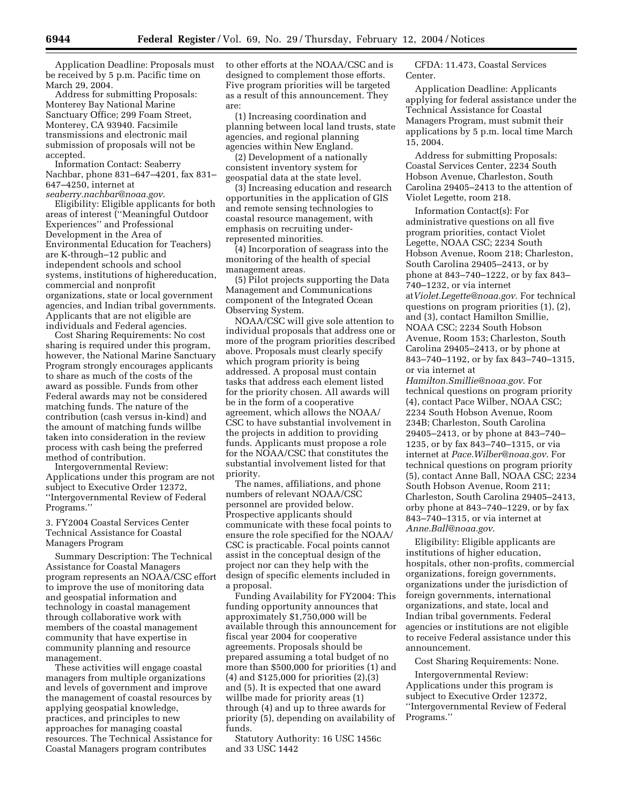Application Deadline: Proposals must be received by 5 p.m. Pacific time on March 29, 2004.

Address for submitting Proposals: Monterey Bay National Marine Sanctuary Office; 299 Foam Street, Monterey, CA 93940. Facsimile transmissions and electronic mail submission of proposals will not be accepted.

Information Contact: Seaberry Nachbar, phone 831–647–4201, fax 831– 647–4250, internet at *seaberry.nachbar@noaa.gov*.

Eligibility: Eligible applicants for both areas of interest (''Meaningful Outdoor Experiences'' and Professional Development in the Area of Environmental Education for Teachers) are K-through–12 public and independent schools and school systems, institutions of highereducation, commercial and nonprofit organizations, state or local government agencies, and Indian tribal governments. Applicants that are not eligible are individuals and Federal agencies.

Cost Sharing Requirements: No cost sharing is required under this program, however, the National Marine Sanctuary Program strongly encourages applicants to share as much of the costs of the award as possible. Funds from other Federal awards may not be considered matching funds. The nature of the contribution (cash versus in-kind) and the amount of matching funds willbe taken into consideration in the review process with cash being the preferred method of contribution.

Intergovernmental Review: Applications under this program are not subject to Executive Order 12372, ''Intergovernmental Review of Federal Programs.''

3. FY2004 Coastal Services Center Technical Assistance for Coastal Managers Program

Summary Description: The Technical Assistance for Coastal Managers program represents an NOAA/CSC effort to improve the use of monitoring data and geospatial information and technology in coastal management through collaborative work with members of the coastal management community that have expertise in community planning and resource management.

These activities will engage coastal managers from multiple organizations and levels of government and improve the management of coastal resources by applying geospatial knowledge, practices, and principles to new approaches for managing coastal resources. The Technical Assistance for Coastal Managers program contributes

to other efforts at the NOAA/CSC and is designed to complement those efforts. Five program priorities will be targeted as a result of this announcement. They are:

(1) Increasing coordination and planning between local land trusts, state agencies, and regional planning agencies within New England.

(2) Development of a nationally consistent inventory system for geospatial data at the state level.

(3) Increasing education and research opportunities in the application of GIS and remote sensing technologies to coastal resource management, with emphasis on recruiting underrepresented minorities.

(4) Incorporation of seagrass into the monitoring of the health of special management areas.

(5) Pilot projects supporting the Data Management and Communications component of the Integrated Ocean Observing System.

NOAA/CSC will give sole attention to individual proposals that address one or more of the program priorities described above. Proposals must clearly specify which program priority is being addressed. A proposal must contain tasks that address each element listed for the priority chosen. All awards will be in the form of a cooperative agreement, which allows the NOAA/ CSC to have substantial involvement in the projects in addition to providing funds. Applicants must propose a role for the NOAA/CSC that constitutes the substantial involvement listed for that priority.

The names, affiliations, and phone numbers of relevant NOAA/CSC personnel are provided below. Prospective applicants should communicate with these focal points to ensure the role specified for the NOAA/ CSC is practicable. Focal points cannot assist in the conceptual design of the project nor can they help with the design of specific elements included in a proposal.

Funding Availability for FY2004: This funding opportunity announces that approximately \$1,750,000 will be available through this announcement for fiscal year 2004 for cooperative agreements. Proposals should be prepared assuming a total budget of no more than \$500,000 for priorities (1) and (4) and \$125,000 for priorities (2),(3) and (5). It is expected that one award willbe made for priority areas (1) through (4) and up to three awards for priority (5), depending on availability of funds.

Statutory Authority: 16 USC 1456c and 33 USC 1442

CFDA: 11.473, Coastal Services Center.

Application Deadline: Applicants applying for federal assistance under the Technical Assistance for Coastal Managers Program, must submit their applications by 5 p.m. local time March 15, 2004.

Address for submitting Proposals: Coastal Services Center, 2234 South Hobson Avenue, Charleston, South Carolina 29405–2413 to the attention of Violet Legette, room 218.

Information Contact(s): For administrative questions on all five program priorities, contact Violet Legette, NOAA CSC; 2234 South Hobson Avenue, Room 218; Charleston, South Carolina 29405–2413, or by phone at 843–740–1222, or by fax 843– 740–1232, or via internet at*Violet.Legette@noaa.gov*. For technical questions on program priorities (1), (2), and (3), contact Hamilton Smillie, NOAA CSC; 2234 South Hobson Avenue, Room 153; Charleston, South Carolina 29405–2413, or by phone at 843–740–1192, or by fax 843–740–1315, or via internet at

*Hamilton.Smillie@noaa.gov*. For technical questions on program priority (4), contact Pace Wilber, NOAA CSC; 2234 South Hobson Avenue, Room 234B; Charleston, South Carolina 29405–2413, or by phone at 843–740– 1235, or by fax 843–740–1315, or via internet at *Pace.Wilber@noaa.gov*. For technical questions on program priority (5), contact Anne Ball, NOAA CSC; 2234 South Hobson Avenue, Room 211; Charleston, South Carolina 29405–2413, orby phone at 843–740–1229, or by fax 843–740–1315, or via internet at *Anne.Ball@noaa.gov*.

Eligibility: Eligible applicants are institutions of higher education, hospitals, other non-profits, commercial organizations, foreign governments, organizations under the jurisdiction of foreign governments, international organizations, and state, local and Indian tribal governments. Federal agencies or institutions are not eligible to receive Federal assistance under this announcement.

Cost Sharing Requirements: None.

Intergovernmental Review: Applications under this program is subject to Executive Order 12372, ''Intergovernmental Review of Federal Programs.''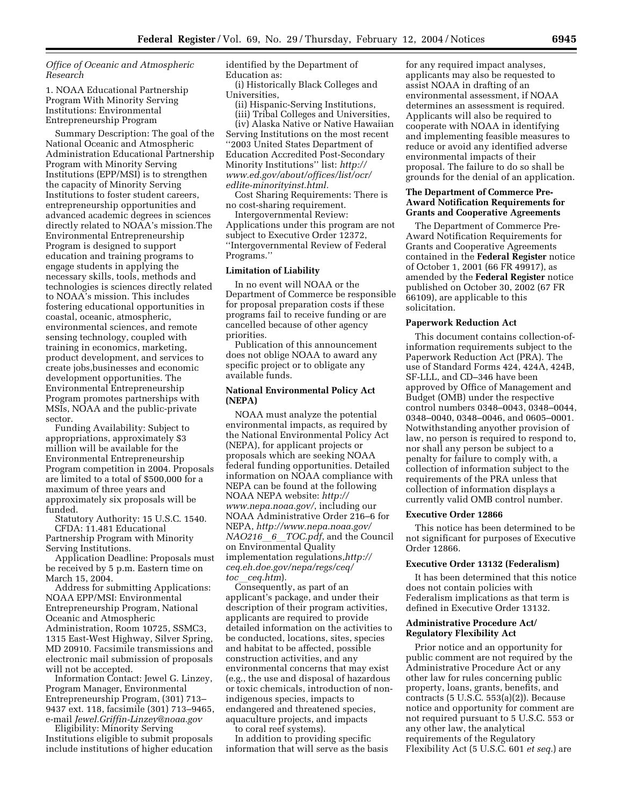*Office of Oceanic and Atmospheric Research*

1. NOAA Educational Partnership Program With Minority Serving Institutions: Environmental Entrepreneurship Program

Summary Description: The goal of the National Oceanic and Atmospheric Administration Educational Partnership Program with Minority Serving Institutions (EPP/MSI) is to strengthen the capacity of Minority Serving Institutions to foster student careers, entrepreneurship opportunities and advanced academic degrees in sciences directly related to NOAA's mission.The Environmental Entrepreneurship Program is designed to support education and training programs to engage students in applying the necessary skills, tools, methods and technologies is sciences directly related to NOAA's mission. This includes fostering educational opportunities in coastal, oceanic, atmospheric, environmental sciences, and remote sensing technology, coupled with training in economics, marketing, product development, and services to create jobs,businesses and economic development opportunities. The Environmental Entrepreneurship Program promotes partnerships with MSIs, NOAA and the public-private sector.

Funding Availability: Subject to appropriations, approximately \$3 million will be available for the Environmental Entrepreneurship Program competition in 2004. Proposals are limited to a total of \$500,000 for a maximum of three years and approximately six proposals will be funded.

Statutory Authority: 15 U.S.C. 1540. CFDA: 11.481 Educational Partnership Program with Minority

Serving Institutions. Application Deadline: Proposals must be received by 5 p.m. Eastern time on

March 15, 2004. Address for submitting Applications: NOAA EPP/MSI: Environmental

Entrepreneurship Program, National Oceanic and Atmospheric Administration, Room 10725, SSMC3, 1315 East-West Highway, Silver Spring, MD 20910. Facsimile transmissions and electronic mail submission of proposals will not be accepted.

Information Contact: Jewel G. Linzey, Program Manager, Environmental Entrepreneurship Program, (301) 713– 9437 ext. 118, facsimile (301) 713–9465, e-mail *Jewel.Griffin-Linzey@noaa.gov*

Eligibility: Minority Serving Institutions eligible to submit proposals include institutions of higher education identified by the Department of Education as:

(i) Historically Black Colleges and Universities,

(ii) Hispanic-Serving Institutions, (iii) Tribal Colleges and Universities,

(iv) Alaska Native or Native Hawaiian Serving Institutions on the most recent ''2003 United States Department of Education Accredited Post-Secondary Minority Institutions'' list: *http:// www.ed.gov/about/offices/list/ocr/ edlite-minorityinst.html.*

Cost Sharing Requirements: There is no cost-sharing requirement. Intergovernmental Review:

Applications under this program are not subject to Executive Order 12372, ''Intergovernmental Review of Federal Programs.''

#### **Limitation of Liability**

In no event will NOAA or the Department of Commerce be responsible for proposal preparation costs if these programs fail to receive funding or are cancelled because of other agency priorities.

Publication of this announcement does not oblige NOAA to award any specific project or to obligate any available funds.

### **National Environmental Policy Act (NEPA)**

NOAA must analyze the potential environmental impacts, as required by the National Environmental Policy Act (NEPA), for applicant projects or proposals which are seeking NOAA federal funding opportunities. Detailed information on NOAA compliance with NEPA can be found at the following NOAA NEPA website: *http:// www.nepa.noaa.gov/*, including our NOAA Administrative Order 216–6 for NEPA, *http://www.nepa.noaa.gov/ NAO216*<sup>*b*</sup>*6TOC.pdf*, and the Council on Environmental Quality implementation regulations,*http:// ceq.eh.doe.gov/nepa/regs/ceq/ toc*l*ceq.htm*).

Consequently, as part of an applicant's package, and under their description of their program activities, applicants are required to provide detailed information on the activities to be conducted, locations, sites, species and habitat to be affected, possible construction activities, and any environmental concerns that may exist (e.g., the use and disposal of hazardous or toxic chemicals, introduction of nonindigenous species, impacts to endangered and threatened species, aquaculture projects, and impacts to coral reef systems).

In addition to providing specific information that will serve as the basis

for any required impact analyses, applicants may also be requested to assist NOAA in drafting of an environmental assessment, if NOAA determines an assessment is required. Applicants will also be required to cooperate with NOAA in identifying and implementing feasible measures to reduce or avoid any identified adverse environmental impacts of their proposal. The failure to do so shall be grounds for the denial of an application.

### **The Department of Commerce Pre-Award Notification Requirements for Grants and Cooperative Agreements**

The Department of Commerce Pre-Award Notification Requirements for Grants and Cooperative Agreements contained in the **Federal Register** notice of October 1, 2001 (66 FR 49917), as amended by the **Federal Register** notice published on October 30, 2002 (67 FR 66109), are applicable to this solicitation.

### **Paperwork Reduction Act**

This document contains collection-ofinformation requirements subject to the Paperwork Reduction Act (PRA). The use of Standard Forms 424, 424A, 424B, SF-LLL, and CD–346 have been approved by Office of Management and Budget (OMB) under the respective control numbers 0348–0043, 0348–0044, 0348–0040, 0348–0046, and 0605–0001. Notwithstanding anyother provision of law, no person is required to respond to, nor shall any person be subject to a penalty for failure to comply with, a collection of information subject to the requirements of the PRA unless that collection of information displays a currently valid OMB control number.

#### **Executive Order 12866**

This notice has been determined to be not significant for purposes of Executive Order 12866.

### **Executive Order 13132 (Federalism)**

It has been determined that this notice does not contain policies with Federalism implications as that term is defined in Executive Order 13132.

### **Administrative Procedure Act/ Regulatory Flexibility Act**

Prior notice and an opportunity for public comment are not required by the Administrative Procedure Act or any other law for rules concerning public property, loans, grants, benefits, and contracts (5 U.S.C. 553(a)(2)). Because notice and opportunity for comment are not required pursuant to 5 U.S.C. 553 or any other law, the analytical requirements of the Regulatory Flexibility Act (5 U.S.C. 601 *et seq.*) are